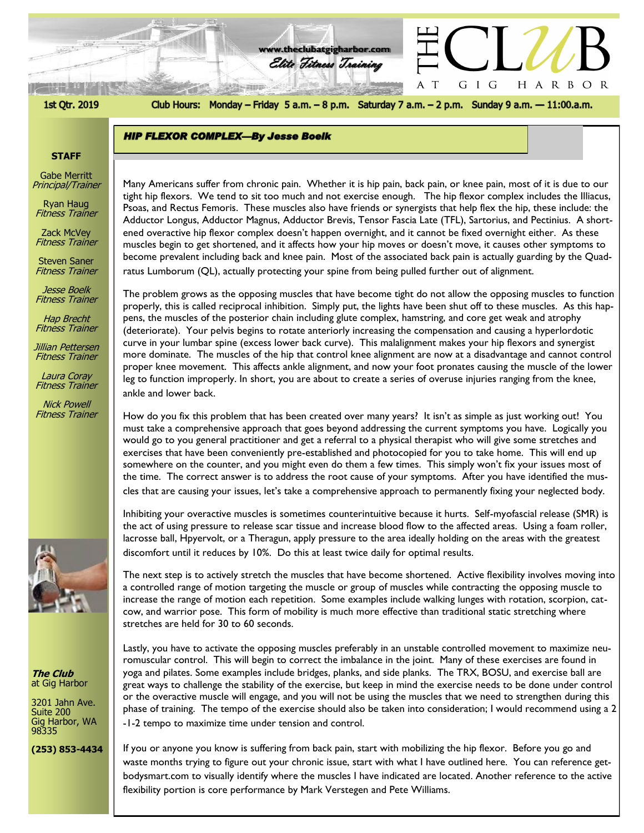1st Qtr. 2019

Club Hours: Monday - Friday 5 a.m. - 8 p.m. Saturday 7 a.m. - 2 p.m. Sunday 9 a.m. - 11:00.a.m.

G I G

 $\mathbf T$ A

HARBOR

**www.theclubatgigharbor.com**

Elite Fitness Training

リト 和田

**HIP FLEXOR COMPLEX-By Jesse Boelk** 

#### **STAFF**

Gabe Merritt Principal/Trainer

Ryan Haug Fitness Trainer

Zack McVey **Fitness Trainer** 

Steven Saner Fitness Trainer

Jesse Boelk Fitness Trainer

Hap Brecht **Fitness Trainer** 

Jillian Pettersen Fitness Trainer

Laura Coray Fitness Trainer

Nick Powell Fitness Trainer



**The Club** at Gig Harbor

3201 Jahn Ave. Suite 200 Gig Harbor, WA 98335

**(253) 853-4434**

tight hip flexors. We tend to sit too much and not exercise enough. The hip flexor complex includes the Illiacus,<br>Psoas and Bostus Fomoris. These muscles also have friends or synergists that help flex the hip, these includ Many Americans suffer from chronic pain. Whether it is hip pain, back pain, or knee pain, most of it is due to our Psoas, and Rectus Femoris. These muscles also have friends or synergists that help flex the hip, these include: the Adductor Longus, Adductor Magnus, Adductor Brevis, Tensor Fascia Late (TFL), Sartorius, and Pectinius. A shortened overactive hip flexor complex doesn't happen overnight, and it cannot be fixed overnight either. As these muscles begin to get shortened, and it affects how your hip moves or doesn't move, it causes other symptoms to become prevalent including back and knee pain. Most of the associated back pain is actually guarding by the Quadratus Lumborum (QL), actually protecting your spine from being pulled further out of alignment.

The problem grows as the opposing muscles that have become tight do not allow the opposing muscles to function properly, this is called reciprocal inhibition. Simply put, the lights have been shut off to these muscles. As this happens, the muscles of the posterior chain including glute complex, hamstring, and core get weak and atrophy (deteriorate). Your pelvis begins to rotate anteriorly increasing the compensation and causing a hyperlordotic curve in your lumbar spine (excess lower back curve). This malalignment makes your hip flexors and synergist more dominate. The muscles of the hip that control knee alignment are now at a disadvantage and cannot control proper knee movement. This affects ankle alignment, and now your foot pronates causing the muscle of the lower leg to function improperly. In short, you are about to create a series of overuse injuries ranging from the knee, ankle and lower back.

How do you fix this problem that has been created over many years? It isn't as simple as just working out! You must take a comprehensive approach that goes beyond addressing the current symptoms you have. Logically you would go to you general practitioner and get a referral to a physical therapist who will give some stretches and exercises that have been conveniently pre-established and photocopied for you to take home. This will end up somewhere on the counter, and you might even do them a few times. This simply won't fix your issues most of the time. The correct answer is to address the root cause of your symptoms. After you have identified the muscles that are causing your issues, let's take a comprehensive approach to permanently fixing your neglected body.

Inhibiting your overactive muscles is sometimes counterintuitive because it hurts. Self-myofascial release (SMR) is the act of using pressure to release scar tissue and increase blood flow to the affected areas. Using a foam roller, lacrosse ball, Hpyervolt, or a Theragun, apply pressure to the area ideally holding on the areas with the greatest discomfort until it reduces by 10%. Do this at least twice daily for optimal results.

The next step is to actively stretch the muscles that have become shortened. Active flexibility involves moving into a controlled range of motion targeting the muscle or group of muscles while contracting the opposing muscle to increase the range of motion each repetition. Some examples include walking lunges with rotation, scorpion, catcow, and warrior pose. This form of mobility is much more effective than traditional static stretching where stretches are held for 30 to 60 seconds.

Lastly, you have to activate the opposing muscles preferably in an unstable controlled movement to maximize neuromuscular control. This will begin to correct the imbalance in the joint. Many of these exercises are found in yoga and pilates. Some examples include bridges, planks, and side planks. The TRX, BOSU, and exercise ball are great ways to challenge the stability of the exercise, but keep in mind the exercise needs to be done under control or the overactive muscle will engage, and you will not be using the muscles that we need to strengthen during this phase of training. The tempo of the exercise should also be taken into consideration; I would recommend using a 2 -1-2 tempo to maximize time under tension and control.

If you or anyone you know is suffering from back pain, start with mobilizing the hip flexor. Before you go and waste months trying to figure out your chronic issue, start with what I have outlined here. You can reference getbodysmart.com to visually identify where the muscles I have indicated are located. Another reference to the active flexibility portion is core performance by Mark Verstegen and Pete Williams.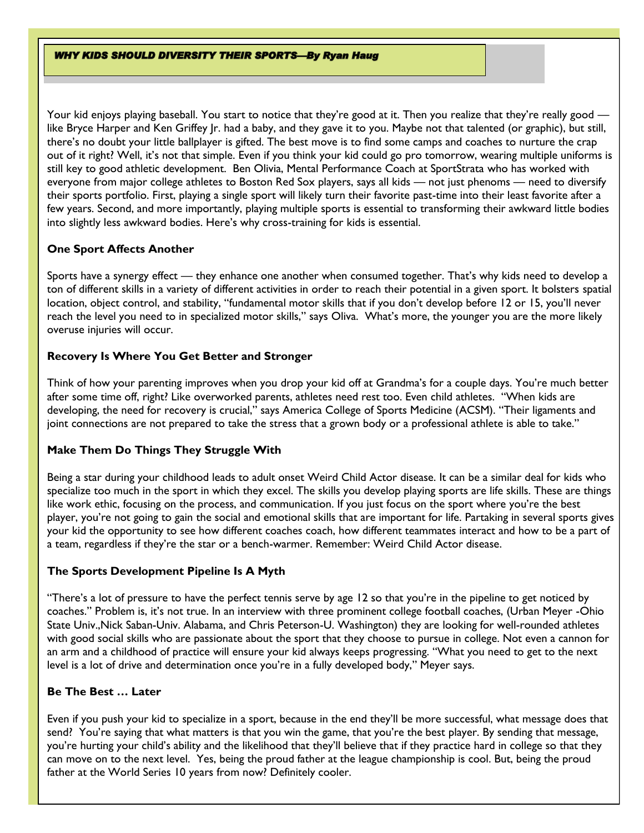**WHY KIDS SHOULD DIVERSITY THEIR SPORTS-By Ryan Haug** 

Your kid enjoys playing baseball. You start to notice that they're good at it. Then you realize that they're really good like Bryce Harper and Ken Griffey Jr. had a baby, and they gave it to you. Maybe not that talented (or graphic), but still, there's no doubt your little ballplayer is gifted. The best move is to find some camps and coaches to nurture the crap out of it right? Well, it's not that simple. Even if you think your kid could go pro tomorrow, wearing multiple uniforms is still key to good athletic development. Ben Olivia, Mental Performance Coach at SportStrata who has worked with everyone from major college athletes to Boston Red Sox players, says all kids — not just phenoms — need to diversify their sports portfolio. First, playing a single sport will likely turn their favorite past-time into their least favorite after a few years. Second, and more importantly, playing multiple sports is essential to transforming their awkward little bodies into slightly less awkward bodies. Here's why cross-training for kids is essential.

## **One Sport Affects Another**

Sports have a synergy effect — they enhance one another when consumed together. That's why kids need to develop a ton of different skills in a variety of different activities in order to reach their potential in a given sport. It bolsters spatial location, object control, and stability, "fundamental motor skills that if you don't develop before 12 or 15, you'll never reach the level you need to in specialized motor skills," says Oliva. What's more, the younger you are the more likely overuse injuries will occur.

# **Recovery Is Where You Get Better and Stronger**

Think of how your parenting improves when you drop your kid off at Grandma's for a couple days. You're much better after some time off, right? Like overworked parents, athletes need rest too. Even child athletes. "When kids are developing, the need for recovery is crucial," says America College of Sports Medicine (ACSM). "Their ligaments and joint connections are not prepared to take the stress that a grown body or a professional athlete is able to take."

## **Make Them Do Things They Struggle With**

Being a star during your childhood leads to adult onset Weird Child Actor disease. It can be a similar deal for kids who specialize too much in the sport in which they excel. The skills you develop playing sports are life skills. These are things like work ethic, focusing on the process, and communication. If you just focus on the sport where you're the best player, you're not going to gain the social and emotional skills that are important for life. Partaking in several sports gives your kid the opportunity to see how different coaches coach, how different teammates interact and how to be a part of a team, regardless if they're the star or a bench-warmer. Remember: Weird Child Actor disease.

## **The Sports Development Pipeline Is A Myth**

"There's a lot of pressure to have the perfect tennis serve by age 12 so that you're in the pipeline to get noticed by coaches." Problem is, it's not true. In an interview with three prominent college football coaches, (Urban Meyer -Ohio State Univ.,Nick Saban-Univ. Alabama, and Chris Peterson-U. Washington) they are looking for well-rounded athletes with good social skills who are passionate about the sport that they choose to pursue in college. Not even a cannon for an arm and a childhood of practice will ensure your kid always keeps progressing. "What you need to get to the next level is a lot of drive and determination once you're in a fully developed body," Meyer says.

## **Be The Best … Later**

Even if you push your kid to specialize in a sport, because in the end they'll be more successful, what message does that send? You're saying that what matters is that you win the game, that you're the best player. By sending that message, you're hurting your child's ability and the likelihood that they'll believe that if they practice hard in college so that they can move on to the next level. Yes, being the proud father at the league championship is cool. But, being the proud father at the World Series 10 years from now? Definitely cooler.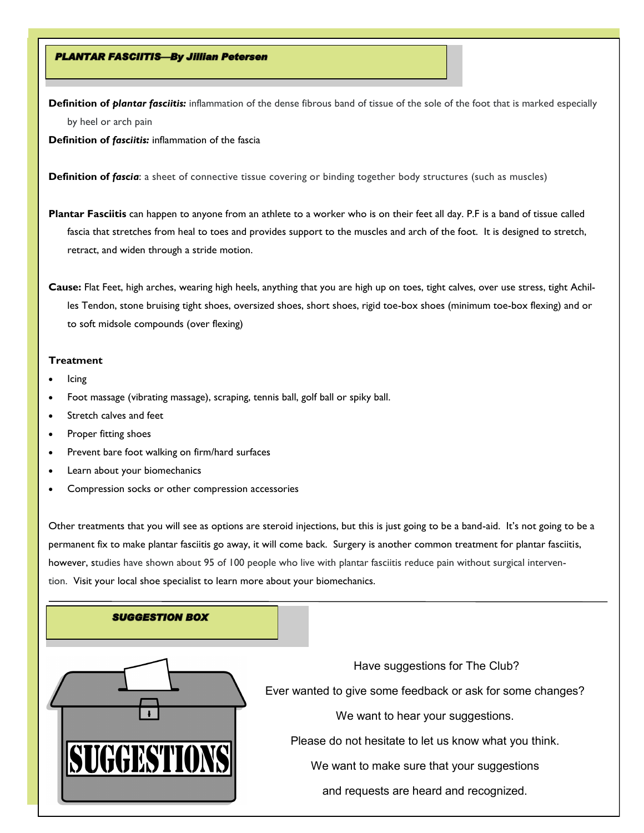## **PLANTAR FASCIITIS-By Jillian Petersen**

**Definition of** *plantar fasciitis:* inflammation of the dense fibrous band of tissue of the sole of the foot that is marked especially by heel or arch pain

**Definition of** *fasciitis:* inflammation of the fascia

**Definition of** *fascia*: a sheet of connective tissue covering or binding together body structures (such as muscles)

**Plantar Fasciitis** can happen to anyone from an athlete to a worker who is on their feet all day. P.F is a band of tissue called fascia that stretches from heal to toes and provides support to the muscles and arch of the foot. It is designed to stretch, retract, and widen through a stride motion.

**Cause:** Flat Feet, high arches, wearing high heels, anything that you are high up on toes, tight calves, over use stress, tight Achilles Tendon, stone bruising tight shoes, oversized shoes, short shoes, rigid toe-box shoes (minimum toe-box flexing) and or to soft midsole compounds (over flexing)

#### **Treatment**

- Icing
- Foot massage (vibrating massage), scraping, tennis ball, golf ball or spiky ball.
- Stretch calves and feet
- Proper fitting shoes
- Prevent bare foot walking on firm/hard surfaces
- Learn about your biomechanics
- Compression socks or other compression accessories

Other treatments that you will see as options are steroid injections, but this is just going to be a band-aid. It's not going to be a permanent fix to make plantar fasciitis go away, it will come back. Surgery is another common treatment for plantar fasciitis, however, studies have shown about 95 of 100 people who live with plantar fasciitis reduce pain without surgical intervention. Visit your local shoe specialist to learn more about your biomechanics.

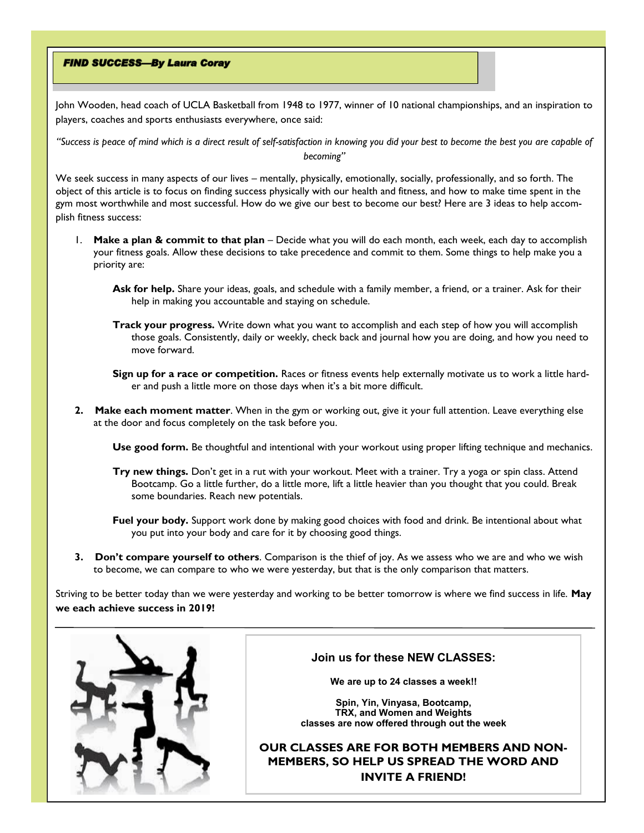## **FIND SUCCESS-By Laura Coray**

John Wooden, head coach of UCLA Basketball from 1948 to 1977, winner of 10 national championships, and an inspiration to players, coaches and sports enthusiasts everywhere, once said:

*"Success is peace of mind which is a direct result of self-satisfaction in knowing you did your best to become the best you are capable of becoming"*

We seek success in many aspects of our lives – mentally, physically, emotionally, socially, professionally, and so forth. The object of this article is to focus on finding success physically with our health and fitness, and how to make time spent in the gym most worthwhile and most successful. How do we give our best to become our best? Here are 3 ideas to help accomplish fitness success:

- 1. **Make a plan & commit to that plan** Decide what you will do each month, each week, each day to accomplish your fitness goals. Allow these decisions to take precedence and commit to them. Some things to help make you a priority are:
	- **Ask for help.** Share your ideas, goals, and schedule with a family member, a friend, or a trainer. Ask for their help in making you accountable and staying on schedule.
	- **Track your progress.** Write down what you want to accomplish and each step of how you will accomplish those goals. Consistently, daily or weekly, check back and journal how you are doing, and how you need to move forward.

**Sign up for a race or competition.** Races or fitness events help externally motivate us to work a little harder and push a little more on those days when it's a bit more difficult.

**2. Make each moment matter**. When in the gym or working out, give it your full attention. Leave everything else at the door and focus completely on the task before you.

**Use good form.** Be thoughtful and intentional with your workout using proper lifting technique and mechanics.

- **Try new things.** Don't get in a rut with your workout. Meet with a trainer. Try a yoga or spin class. Attend Bootcamp. Go a little further, do a little more, lift a little heavier than you thought that you could. Break some boundaries. Reach new potentials.
- **Fuel your body.** Support work done by making good choices with food and drink. Be intentional about what you put into your body and care for it by choosing good things.
- **3. Don't compare yourself to others**. Comparison is the thief of joy. As we assess who we are and who we wish to become, we can compare to who we were yesterday, but that is the only comparison that matters.

Striving to be better today than we were yesterday and working to be better tomorrow is where we find success in life. **May we each achieve success in 2019!**



## **Join us for these NEW CLASSES:**

**We are up to 24 classes a week!!**

**Spin, Yin, Vinyasa, Bootcamp, TRX, and Women and Weights classes are now offered through out the week**

**OUR CLASSES ARE FOR BOTH MEMBERS AND NON-MEMBERS, SO HELP US SPREAD THE WORD AND INVITE A FRIEND!**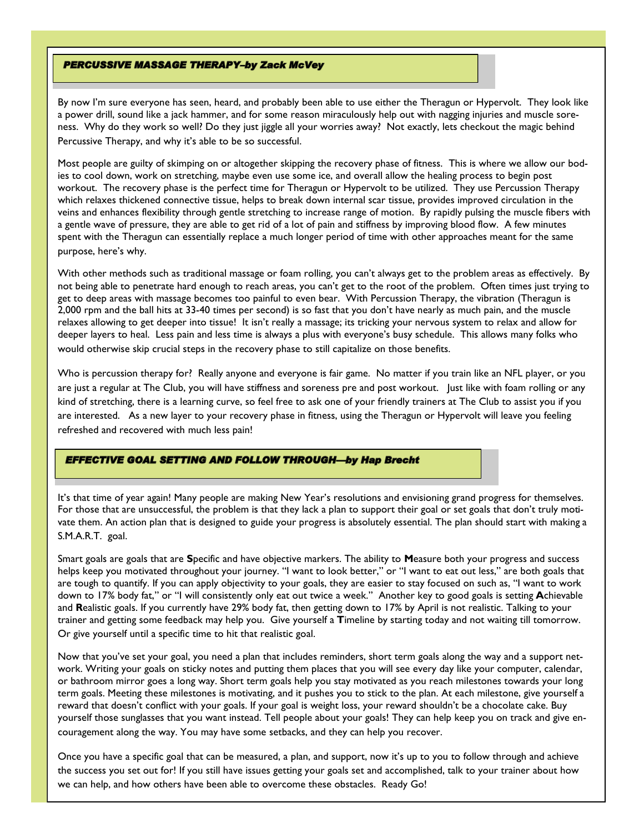### **PERCUSSIVE MASSAGE THERAPY-by Zack McVey**

By now I'm sure everyone has seen, heard, and probably been able to use either the Theragun or Hypervolt. They look like a power drill, sound like a jack hammer, and for some reason miraculously help out with nagging injuries and muscle soreness. Why do they work so well? Do they just jiggle all your worries away? Not exactly, lets checkout the magic behind Percussive Therapy, and why it's able to be so successful.

Most people are guilty of skimping on or altogether skipping the recovery phase of fitness. This is where we allow our bodies to cool down, work on stretching, maybe even use some ice, and overall allow the healing process to begin post workout. The recovery phase is the perfect time for Theragun or Hypervolt to be utilized. They use Percussion Therapy which relaxes thickened connective tissue, helps to break down internal scar tissue, provides improved circulation in the veins and enhances flexibility through gentle stretching to increase range of motion. By rapidly pulsing the muscle fibers with a gentle wave of pressure, they are able to get rid of a lot of pain and stiffness by improving blood flow. A few minutes spent with the Theragun can essentially replace a much longer period of time with other approaches meant for the same purpose, here's why.

With other methods such as traditional massage or foam rolling, you can't always get to the problem areas as effectively. By not being able to penetrate hard enough to reach areas, you can't get to the root of the problem. Often times just trying to get to deep areas with massage becomes too painful to even bear. With Percussion Therapy, the vibration (Theragun is 2,000 rpm and the ball hits at 33-40 times per second) is so fast that you don't have nearly as much pain, and the muscle relaxes allowing to get deeper into tissue! It isn't really a massage; its tricking your nervous system to relax and allow for deeper layers to heal. Less pain and less time is always a plus with everyone's busy schedule. This allows many folks who would otherwise skip crucial steps in the recovery phase to still capitalize on those benefits.

Who is percussion therapy for? Really anyone and everyone is fair game. No matter if you train like an NFL player, or you are just a regular at The Club, you will have stiffness and soreness pre and post workout. Just like with foam rolling or any kind of stretching, there is a learning curve, so feel free to ask one of your friendly trainers at The Club to assist you if you are interested. As a new layer to your recovery phase in fitness, using the Theragun or Hypervolt will leave you feeling refreshed and recovered with much less pain!

### **EFFECTIVE GOAL SETTING AND FOLLOW THROUGH-by Hap Brecht**

It's that time of year again! Many people are making New Year's resolutions and envisioning grand progress for themselves. For those that are unsuccessful, the problem is that they lack a plan to support their goal or set goals that don't truly motivate them. An action plan that is designed to guide your progress is absolutely essential. The plan should start with making a S.M.A.R.T. goal.

Smart goals are goals that are **S**pecific and have objective markers. The ability to **M**easure both your progress and success helps keep you motivated throughout your journey. "I want to look better," or "I want to eat out less," are both goals that are tough to quantify. If you can apply objectivity to your goals, they are easier to stay focused on such as, "I want to work down to 17% body fat," or "I will consistently only eat out twice a week." Another key to good goals is setting **A**chievable and **R**ealistic goals. If you currently have 29% body fat, then getting down to 17% by April is not realistic. Talking to your trainer and getting some feedback may help you. Give yourself a **T**imeline by starting today and not waiting till tomorrow. Or give yourself until a specific time to hit that realistic goal.

Now that you've set your goal, you need a plan that includes reminders, short term goals along the way and a support network. Writing your goals on sticky notes and putting them places that you will see every day like your computer, calendar, or bathroom mirror goes a long way. Short term goals help you stay motivated as you reach milestones towards your long term goals. Meeting these milestones is motivating, and it pushes you to stick to the plan. At each milestone, give yourself a reward that doesn't conflict with your goals. If your goal is weight loss, your reward shouldn't be a chocolate cake. Buy yourself those sunglasses that you want instead. Tell people about your goals! They can help keep you on track and give encouragement along the way. You may have some setbacks, and they can help you recover.

Once you have a specific goal that can be measured, a plan, and support, now it's up to you to follow through and achieve the success you set out for! If you still have issues getting your goals set and accomplished, talk to your trainer about how we can help, and how others have been able to overcome these obstacles. Ready Go!